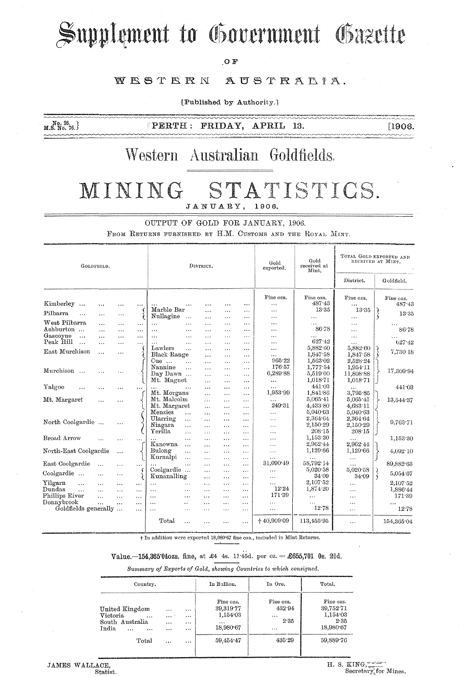# Supplement to Government Gazette

OF

#### WESTERN AUSTRALIA.

[Published by Authority.]

 $M.S. N0. 26.$ <br>M.S. No. 76. }

 $\lceil \texttt{PERTH} \rceil$ FRIDAY, APRIL 13.  $[1906]$ 

### Western Australian Goldfields.

#### STATISTICS. MINING JANUARY, 1906.

OUTPUT OF GOLD FOR JANUARY, 1906.

FROM RETURNS FURNISHED BY H.M. CUSTOMS AND THE ROYAL MINT.

| GOLDFIELD.                     |           |           |          | DISTRICT.                         |                       |                      |                      | Gold<br>exported.     | Gold<br>received at<br>Mint. | TOTAL GOLD EXPORTED AND<br>RECEIVED AT MINT. |                               |
|--------------------------------|-----------|-----------|----------|-----------------------------------|-----------------------|----------------------|----------------------|-----------------------|------------------------------|----------------------------------------------|-------------------------------|
|                                |           |           |          |                                   |                       |                      |                      |                       | District.                    | Goldfield.                                   |                               |
|                                |           |           |          |                                   |                       |                      |                      | Fine ozs.             | Fine ozs.<br>487.43          | Fine ozs.                                    | Fine ozs.                     |
| Kimberley<br>$\ldots$          |           |           |          | $\ddotsc$<br>Marble Bar           | $\cdots$              |                      | $\cdots$             |                       | 13.35                        | $\cdots$<br>13.35                            | 487.43                        |
| Pilbarra<br>$\ddotsc$          | $\ddotsc$ | $\cdots$  |          | Nullagine<br>$\ddotsc$            | $\cdots$<br>$\cdots$  | $\cdots$<br>$\cdots$ | $\cdots$<br>$\cdots$ | $\cdots$<br>$\cdots$  | $\cdots$                     | $\cdots$                                     | 13.35                         |
| West Pilbarra                  | $\cdots$  | $\ddotsc$ | $\cdots$ | $\cdots$<br>$\cdots$              | $\cdots$              | $\cdots$             | $\cdots$             | $\ddotsc$             | $\cdots$                     | .                                            | $\ddotsc$                     |
| Ashburton                      | $\cdots$  | $\ddotsc$ | $\cdots$ | $\ddotsc$<br>$\cdots$             | $\cdots$              | $\cdots$             | $\cdots$             | .                     | 86.78                        | .                                            | 86.78                         |
| Gascoyne<br>$\ddotsc$          | $\cdots$  | $\cdots$  |          | $\cdots$<br>                      | $\cdots$              | $\cdots$             | $\cdots$             | $\ddotsc$             |                              | $\cdots$                                     |                               |
| Peak Hill<br>$\ddotsc$         | $\cdots$  | $\cdots$  | $\cdots$ | $\cdots$<br>$\ddotsc$             | $\cdots$              | $\cdots$             | $\cdots$             | $\ddotsc$             | 627.42                       | $\cdots$                                     | 627.42                        |
| East Murchison                 | $\ddotsc$ | $\ddotsc$ |          | Lawlers<br>$\cdots$               | $\cdots$              | $\cdots$             | $\cdots$             | $\cdots$              | 5,882.60                     | 5,882.60                                     | 7.730.18                      |
|                                |           |           |          | <b>Black Range</b>                | $\cdots$              | $\cdots$             | $\cdots$             | $\ddotsc$             | 1,847.58                     | 1,847.58                                     |                               |
|                                |           |           |          | $Cue$<br>$\ddotsc$                | .                     | $\cdots$             | $\cdots$             | 965.22<br>176.57      | 1,563.02                     | 2,528.24                                     |                               |
| Murchison                      |           | $\cdots$  |          | Nannine<br>$\ddotsc$<br>Day Dawn  | $\cdots$              |                      | $\cdots$             | 6,289.88              | 1,777.54<br>5,519.00         | 1,954.11<br>11,808.88                        | 17,309.94                     |
|                                |           |           |          | Mt. Magnet                        | $\cdots$              | $\cdots$             | $\cdots$             |                       | 1,018.71                     | 1,018.71                                     |                               |
| Yalgoo                         |           |           |          |                                   | $\ddotsc$<br>$\cdots$ | $\cdots$<br>$\cdots$ | $\cdots$<br>$\cdots$ | $\ddotsc$<br>.        | 441.03                       |                                              | 441.03                        |
| $\cdots$                       |           | $\cdots$  | $\cdots$ | Mt. Morgans                       | $\cdots$              | $\ddotsc$            | $\cdots$             | 1,953.99              | 1,841.86                     | 3,795.85                                     |                               |
| Mt. Margaret                   | $\ddotsc$ | $\cdots$  |          | Mt. Malcolm                       | $\cdots$              | $\cdots$             | .                    | $\cdots$              | 5,065.41                     | 5,065 41                                     | 13,544.37                     |
|                                |           |           |          | Mt. Margaret                      | $\cdots$              | $\cdots$             | $\cdots$             | 249.31                | 4,433.80                     | 4,683.11                                     |                               |
|                                |           |           |          | Menzies<br>$\cdots$               | $\cdots$              | $\cdots$             | $\cdots$             | .                     | 5,040 63                     | 5,040.63                                     |                               |
| North Coolgardie               |           |           |          | Ularring<br>$\ddotsc$             | المعاداة              | $\cdots$             | $\cdots$             | $\cdots$              | 2.364.64                     | 2,364.64                                     | 9,763.71                      |
|                                |           | $\cdots$  |          | Niagara<br>$\ddotsc$              | $\cdots$              | $\ddotsc$            | $\cdots$             | $\cdots$              | 2,150.29                     | 2,150.29                                     |                               |
|                                |           |           |          | Yerilla<br>$\ddotsc$              | $\cdots$              | $\cdots$             | $\cdots$             | .                     | 208:15                       | 208.15                                       |                               |
| Broad Arrow                    | $\ddotsc$ | $\cdots$  | $\cdots$ | $\cdots$                          | $\cdots$              | $\cdots$             | .                    | .                     | 1,153.30                     | $\cdots$                                     | 1,153.30                      |
|                                |           |           |          | Kanowna<br>$\cdots$               |                       | $\ddotsc$            | .                    | .                     | 2,962.44                     | 2,962.44                                     |                               |
| North-East Coolgardie          |           | $\ddotsc$ |          | Bulong<br>$\cdots$                | $\cdots$              | $\cdots$             | $\ddotsc$            | .                     | 1,129.66                     | 1,129.66                                     | 4,092.10                      |
|                                |           |           |          | Kurnalpi<br>$\ddotsc$             | $\cdots$              | $\cdots$             | $\cdots$             | $\cdots$<br>31,090 49 | $\cdots$<br>58,792.14        | $\cdots$                                     |                               |
| East Coolgardie                | $\ddotsc$ | $\cdots$  | $\cdots$ | $\cdots$<br>Coolgardie            | $\cdots$              | $\ddotsc$            | $\cdots$             |                       | 5,020.58                     | .<br>5.020.58                                | 89,882.63                     |
| Coolgardie                     | $\cdots$  | $\cdots$  |          | Kunanalling                       | $\cdots$<br>$\cdots$  | $\cdots$             | $\sim$ 4 $\sim$      | $\cdots$<br>$\cdots$  | 34.09                        | 34.09                                        | $\left\{ \right.$<br>5,054.67 |
| Yilgarn<br>$\ddotsc$           |           | $\cdots$  | $\cdots$ | $\ddotsc$<br>$\cdots$             | $\cdots$              | $\cdots$<br>$\cdots$ | $\cdots$<br>$\cdots$ | $\cdots$              | 2.107.52                     | $\cdots$                                     | 2,107.52                      |
| Dundas<br>$\ddot{\phantom{a}}$ | $\ddotsc$ |           | $\cdots$ | $\cdots$<br>$\ddotsc$             | $\ddotsc$             | $\cdots$             | $\cdots$             | 12.24                 | 1.874.20                     |                                              | 1,886.44                      |
| Phillips River                 | $\ddotsc$ | $\cdots$  | $\cdots$ | $\cdots$<br>$\cdots$              | $\cdots$              | $\cdots$             | $\cdots$             | 171.39                | $\ddotsc$                    | $\ddotsc$                                    | 171.39                        |
| Donnybrook                     | $\ddotsc$ | $\ddotsc$ | $\cdots$ | $\ddot{\phantom{a}}$<br>$\ddotsc$ | $\cdots$              | $\cdots$             | $\cdots$             | .                     |                              | $\ddots$                                     | .                             |
| Goldfields generally           |           |           | $\cdots$ | $\ddotsc$<br>$\cdots$             | $\overline{a}$        | $\cdots$             | $\cdots$             | $\cdots$              | 12.78                        | $\cdots$                                     | 12.78                         |
|                                |           |           |          | Total<br>$\overline{a}$           |                       | $\ddotsc$            | $\cdots$             | $+40,909.09$          | 113,455.95                   | .                                            | 154,365.04                    |

+ In addition were exported 18,980.67 fine ozs., included in Mint Returns.

Value. -154,365'040zs. fine, at £4 4s. 11:45d. per oz. = £655,701 0s. 24d.

Summary of Exports of Gold, showing Countries to which consigned.

| Country.                                                                           |                              |                                      | In Bullion.                                                 | In Ore.                                     | Total.<br>Fine ozs.<br>39,75271<br>1,154 03<br>2.35<br>18,980.67 |  |
|------------------------------------------------------------------------------------|------------------------------|--------------------------------------|-------------------------------------------------------------|---------------------------------------------|------------------------------------------------------------------|--|
| United Kingdom<br>Victoria<br>$\cdots$<br>South Australia<br>India<br>$\cdots$<br> | <br>$\cdots$<br>$\cdots$<br> | $\cdots$<br>$\cdots$<br><br>$\cdots$ | Fine ozs.<br>39.319.77<br>1,154.03<br>$\cdots$<br>18,980.67 | Fine ozs.<br>432.94<br>$\cdots$<br>2.35<br> |                                                                  |  |
| Total                                                                              | $\cdots$                     |                                      | 59,454.47                                                   | 435.29                                      | 59,889.76                                                        |  |